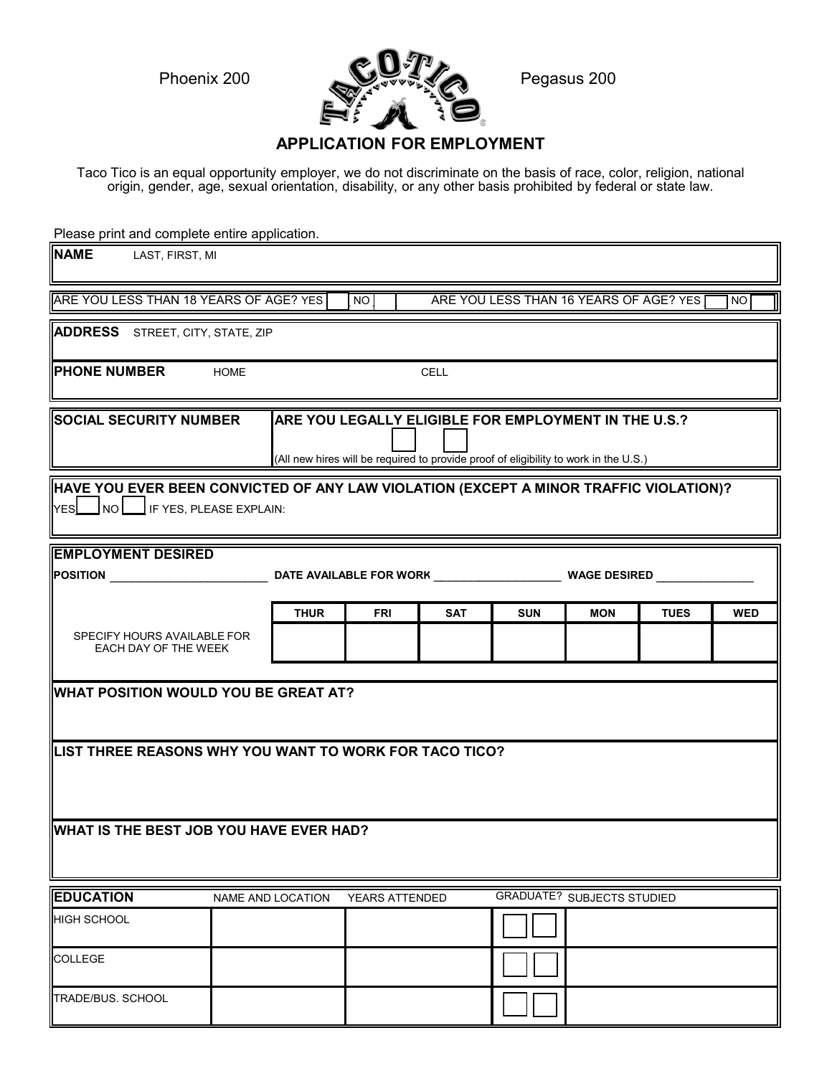

## **APPLICATION FOR EMPLOYMENT**

Taco Tico is an equal opportunity employer, we do not discriminate on the basis of race, color, religion, national origin, gender, age, sexual orientation, disability, or any other basis prohibited by federal or state law.

Please print and complete entire application.

| <b>NAME</b><br>LAST, FIRST, MI                                                                                                                                                |             |                          |                       |            |                                        |            |             |            |  |  |  |
|-------------------------------------------------------------------------------------------------------------------------------------------------------------------------------|-------------|--------------------------|-----------------------|------------|----------------------------------------|------------|-------------|------------|--|--|--|
| ARE YOU LESS THAN 18 YEARS OF AGE? YES                                                                                                                                        |             |                          | <b>NO</b>             |            | ARE YOU LESS THAN 16 YEARS OF AGE? YES |            |             | NO         |  |  |  |
| <b>ADDRESS</b> STREET, CITY, STATE, ZIP                                                                                                                                       |             |                          |                       |            |                                        |            |             |            |  |  |  |
| <b>PHONE NUMBER</b>                                                                                                                                                           | <b>HOME</b> |                          |                       | CELL       |                                        |            |             |            |  |  |  |
| SOCIAL SECURITY NUMBER<br>ARE YOU LEGALLY ELIGIBLE FOR EMPLOYMENT IN THE U.S.?<br>(All new hires will be required to provide proof of eligibility to work in the U.S.)        |             |                          |                       |            |                                        |            |             |            |  |  |  |
| HAVE YOU EVER BEEN CONVICTED OF ANY LAW VIOLATION (EXCEPT A MINOR TRAFFIC VIOLATION)?<br>$\left \mathsf{yes}\right \_\mathsf{NO}\right \_\mathsf{IF}$ IF YES, PLEASE EXPLAIN: |             |                          |                       |            |                                        |            |             |            |  |  |  |
| <b>EMPLOYMENT DESIRED</b><br><b>POSITION</b><br>DATE AVAILABLE FOR WORK WAGE DESIRED                                                                                          |             |                          |                       |            |                                        |            |             |            |  |  |  |
|                                                                                                                                                                               |             | <b>THUR</b>              | <b>FRI</b>            | <b>SAT</b> | <b>SUN</b>                             | <b>MON</b> | <b>TUES</b> | <b>WED</b> |  |  |  |
| SPECIFY HOURS AVAILABLE FOR<br>EACH DAY OF THE WEEK                                                                                                                           |             |                          |                       |            |                                        |            |             |            |  |  |  |
| WHAT POSITION WOULD YOU BE GREAT AT?                                                                                                                                          |             |                          |                       |            |                                        |            |             |            |  |  |  |
| LIST THREE REASONS WHY YOU WANT TO WORK FOR TACO TICO?                                                                                                                        |             |                          |                       |            |                                        |            |             |            |  |  |  |
| WHAT IS THE BEST JOB YOU HAVE EVER HAD?                                                                                                                                       |             |                          |                       |            |                                        |            |             |            |  |  |  |
| <b>EDUCATION</b>                                                                                                                                                              |             | <b>NAME AND LOCATION</b> | <b>YEARS ATTENDED</b> |            | <b>GRADUATE? SUBJECTS STUDIED</b>      |            |             |            |  |  |  |
| <b>HIGH SCHOOL</b>                                                                                                                                                            |             |                          |                       |            |                                        |            |             |            |  |  |  |
| <b>COLLEGE</b>                                                                                                                                                                |             |                          |                       |            |                                        |            |             |            |  |  |  |
| <b>TRADE/BUS, SCHOOL</b>                                                                                                                                                      |             |                          |                       |            |                                        |            |             |            |  |  |  |